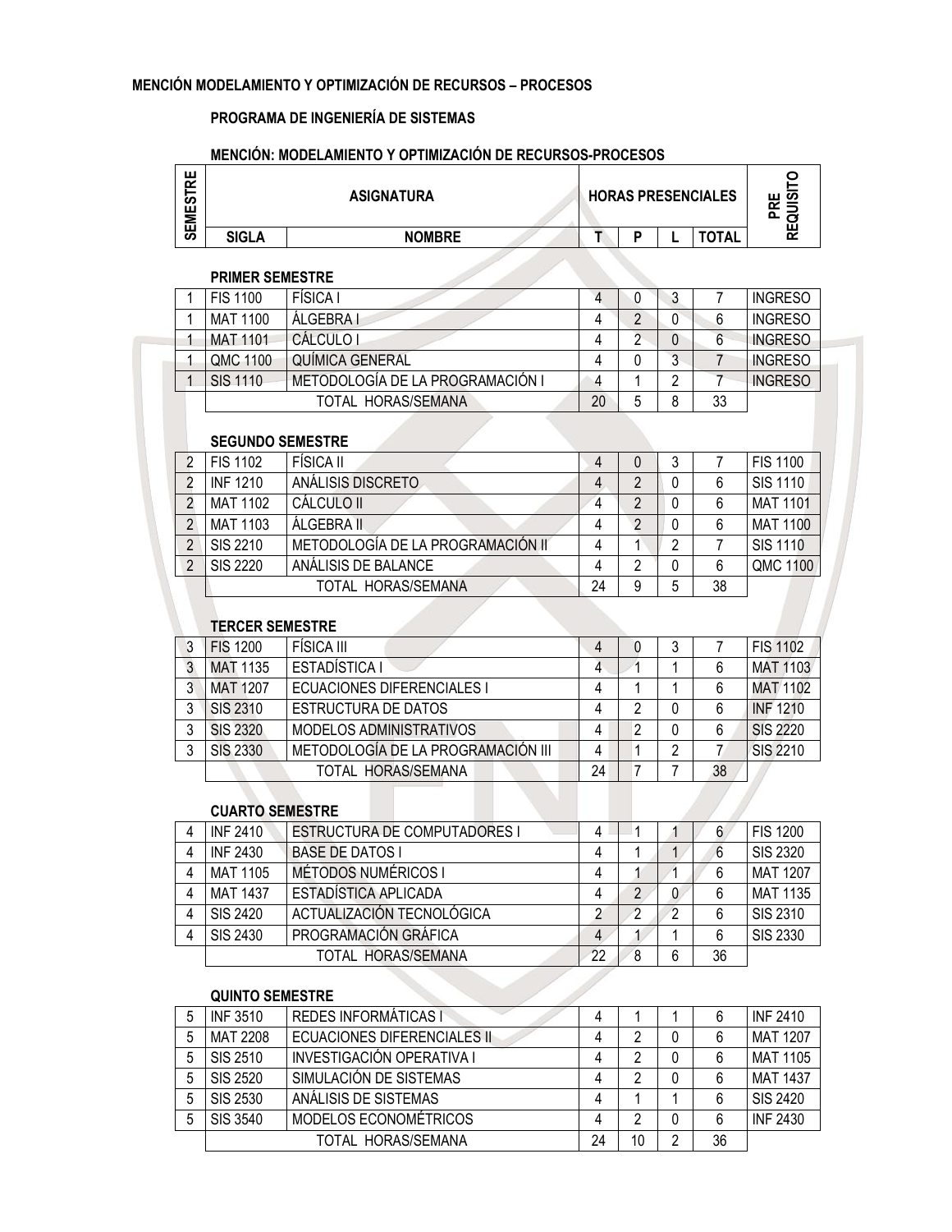### PROGRAMA DE INGENIERÍA DE SISTEMAS

### MENCIÓN: MODELAMIENTO Y OPTIMIZACIÓN DE RECURSOS-PROCESOS

| 분<br>က္ယ<br>Σ |              | <b>ASIGNATURA</b> |  | <b>HORAS PRESENCIALES</b> | o                            |
|---------------|--------------|-------------------|--|---------------------------|------------------------------|
| ш<br>ၯ        | <b>SIGLA</b> | <b>NOMBRE</b>     |  | <b>TOTAL</b>              | ш<br>$\overline{\mathbf{r}}$ |

#### PRIMER SEMESTRE

| <b>FIS 1100</b> | FÍSICA I                         |    |   | ◠<br>υ      |    | <b>INGRESO</b> |
|-----------------|----------------------------------|----|---|-------------|----|----------------|
| MAT 1100        | <b>ALGEBRA I</b>                 |    | C |             |    | <b>INGRESO</b> |
| <b>MAT 1101</b> | CÁLCULO I                        |    |   | U           |    | <b>INGRESO</b> |
| QMC 1100        | QUÍMICA GENERAL                  |    |   | $\sim$<br>J |    | <b>INGRESO</b> |
| SIS 1110        | METODOLOGÍA DE LA PROGRAMACIÓN I |    |   |             |    | <b>INGRESO</b> |
|                 | TOTAL HORAS/SEMANA               | 20 | 5 | 8           | 33 |                |
|                 |                                  |    |   |             |    |                |

### SEGUNDO SEMESTRE

|                | <b>FIS 1102</b> | FÍSICA II                         |    |   | 3 |    | <b>FIS 1100</b> |
|----------------|-----------------|-----------------------------------|----|---|---|----|-----------------|
|                | <b>INF 1210</b> | ANÁLISIS DISCRETO                 |    |   |   |    | SIS 1110        |
|                | <b>MAT 1102</b> | CÁLCULO II                        |    |   |   |    | <b>MAT 1101</b> |
| $\mathcal{P}$  | MAT 1103        | ÁLGEBRA II                        |    |   |   |    | <b>MAT 1100</b> |
| $\Omega$       | SIS 2210        | METODOLOGÍA DE LA PROGRAMACIÓN II |    |   | າ |    | <b>SIS 1110</b> |
| $\mathfrak{p}$ | <b>SIS 2220</b> | ANÁLISIS DE BALANCE               |    |   | 0 |    | QMC 1100        |
|                |                 | TOTAL HORAS/SEMANA                | 24 | 9 | 5 | 38 |                 |

#### TERCER SEMESTRE

| 3 | <b>FIS 1200</b> | FÍSICA III                         |    | 0 | 3 |    | <b>FIS 1102</b> |
|---|-----------------|------------------------------------|----|---|---|----|-----------------|
| 3 | <b>MAT 1135</b> | ESTADÍSTICA I                      | 4  |   |   | 6  | <b>MAT 1103</b> |
| 3 | <b>MAT 1207</b> | ECUACIONES DIFERENCIALES I         |    |   |   |    | <b>MAT 1102</b> |
| 3 | <b>SIS 2310</b> | <b>ESTRUCTURA DE DATOS</b>         | 4  | 2 | 0 | 6  | <b>INF 1210</b> |
| 3 | <b>SIS 2320</b> | MODELOS ADMINISTRATIVOS            |    | 2 | 0 | 6  | <b>SIS 2220</b> |
| 3 | <b>SIS 2330</b> | METODOLOGÍA DE LA PROGRAMACIÓN III |    |   | 2 |    | <b>SIS 2210</b> |
|   |                 | TOTAL HORAS/SEMANA                 | 24 |   |   | 38 |                 |
|   |                 |                                    |    |   |   |    |                 |
|   | CHARTO SEMESTRE |                                    |    |   |   |    |                 |

#### CUARTO SEMESTRE

| <b>INF 2410</b> | <b>ESTRUCTURA DE COMPUTADORES I</b> |    |   |                |    | <b>FIS 1200</b> |
|-----------------|-------------------------------------|----|---|----------------|----|-----------------|
| <b>INF 2430</b> | <b>BASE DE DATOS I</b>              |    |   |                |    | <b>SIS 2320</b> |
| <b>MAT 1105</b> | <b>MÉTODOS NUMÉRICOS I</b>          |    |   |                |    | <b>MAT 1207</b> |
| <b>MAT 1437</b> | ESTADÍSTICA APLICADA                |    |   | $\overline{0}$ |    | <b>MAT 1135</b> |
| SIS 2420        | ACTUALIZACIÓN TECNOLÓGICA           |    |   | 2              |    | <b>SIS 2310</b> |
| SIS 2430        | PROGRAMACIÓN GRÁFICA                | 4  |   |                |    | <b>SIS 2330</b> |
|                 | TOTAL HORAS/SEMANA                  | 22 | 8 | 6              | 36 |                 |

#### QUINTO SEMESTRE

| 5 | <b>INF 3510</b> | REDES INFORMÁTICAS I        |    |    |   |    | <b>INF 2410</b> |
|---|-----------------|-----------------------------|----|----|---|----|-----------------|
| 5 | MAT 2208        | ECUACIONES DIFERENCIALES II |    | റ  |   |    | <b>MAT 1207</b> |
| 5 | SIS 2510        | INVESTIGACIÓN OPERATIVA I   |    | റ  |   |    | <b>MAT 1105</b> |
| 5 | SIS 2520        | SIMULACIÓN DE SISTEMAS      |    |    |   |    | <b>MAT 1437</b> |
| 5 | <b>SIS 2530</b> | ANÁLISIS DE SISTEMAS        |    |    |   |    | SIS 2420        |
| 5 | SIS 3540        | MODELOS ECONOMÉTRICOS       |    | റ  |   |    | <b>INF 2430</b> |
|   |                 | TOTAL HORAS/SEMANA          | 24 | 10 | 2 | 36 |                 |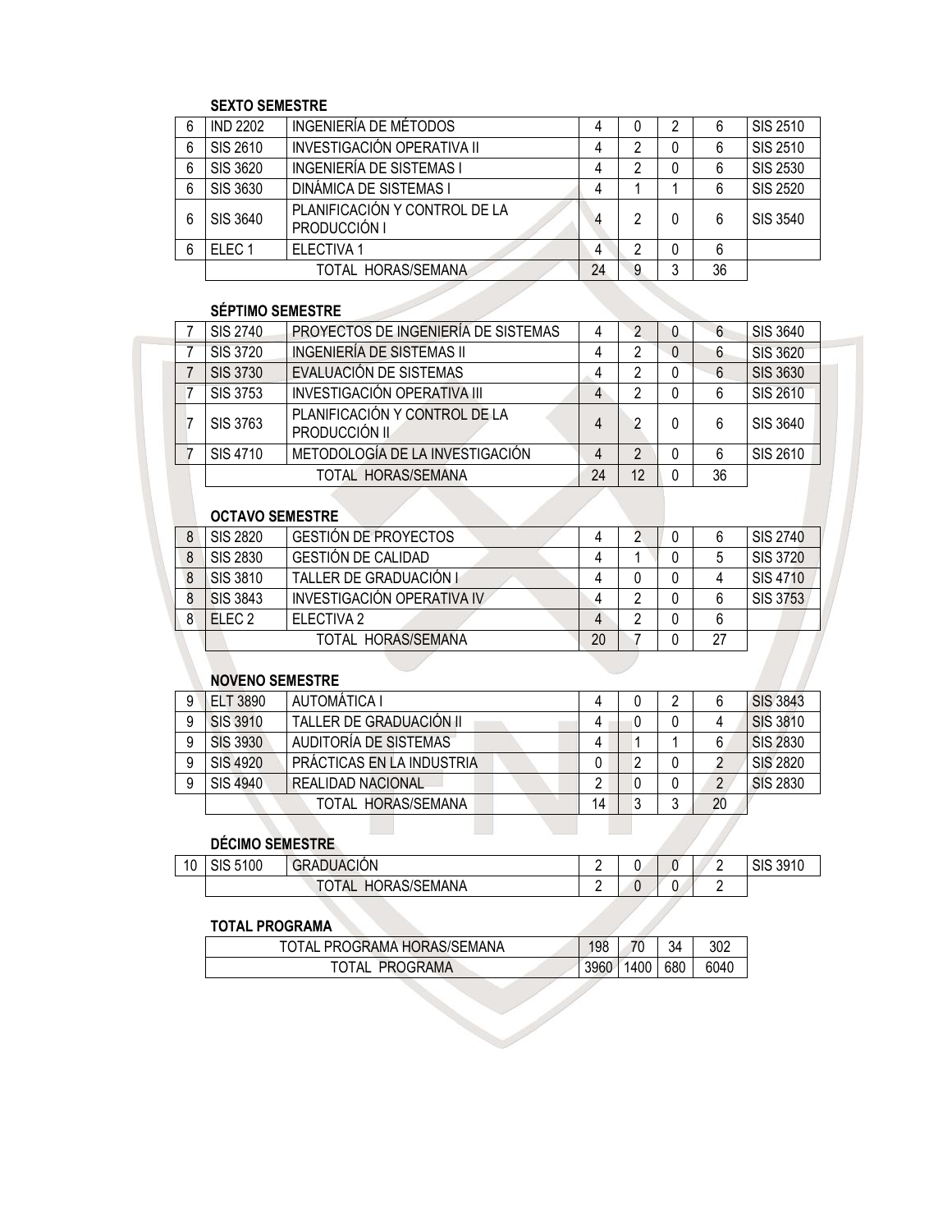### SEXTO SEMESTRE

| 6 | <b>IND 2202</b>   | INGENIERÍA DE MÉTODOS                         |    | 0 | 2 |    | <b>SIS 2510</b> |
|---|-------------------|-----------------------------------------------|----|---|---|----|-----------------|
| 6 | SIS 2610          | INVESTIGACIÓN OPERATIVA II                    |    |   |   | 6  | SIS 2510        |
| 6 | SIS 3620          | <b>INGENIERÍA DE SISTEMAS I</b>               |    |   | 0 | 6  | SIS 2530        |
| 6 | SIS 3630          | <b>DINÁMICA DE SISTEMAS I</b>                 | 4  |   |   | 6  | <b>SIS 2520</b> |
| 6 | SIS 3640          | PLANIFICACIÓN Y CONTROL DE LA<br>PRODUCCIÓN I | 4  | っ |   | հ  | SIS 3540        |
| 6 | ELEC <sub>1</sub> | <b>ELECTIVA 1</b>                             |    |   |   | 6  |                 |
|   |                   | TOTAL HORAS/SEMANA                            | 24 | 9 | 3 | 36 |                 |

### SÉPTIMO SEMESTRE

| <b>SIS 2740</b> | PROYECTOS DE INGENIERÍA DE SISTEMAS                   |    |    | U | 6  | SIS 3640        |
|-----------------|-------------------------------------------------------|----|----|---|----|-----------------|
| <b>SIS 3720</b> | INGENIERÍA DE SISTEMAS II                             |    | ŋ  | 0 | 6  | <b>SIS 3620</b> |
| <b>SIS 3730</b> | EVALUACIÓN DE SISTEMAS                                |    |    |   | 6  | <b>SIS 3630</b> |
| <b>SIS 3753</b> | INVESTIGACIÓN OPERATIVA III                           |    | ኅ  | 0 | 6  | SIS 2610        |
| SIS 3763        | PLANIFICACIÓN Y CONTROL DE LA<br><b>PRODUCCIÓN II</b> |    | ∩  |   | 6  | SIS 3640        |
| SIS 4710        | METODOLOGÍA DE LA INVESTIGACIÓN                       |    |    | 0 | 6  | SIS 2610        |
|                 | TOTAL HORAS/SEMANA                                    | 24 | 12 | 0 | 36 |                 |

## OCTAVO SEMESTRE

|   | SIS 2820        | <b>GESTION DE PROYECTOS</b> |    |  |    | SIS 2740        |
|---|-----------------|-----------------------------|----|--|----|-----------------|
| 8 | SIS 2830        | <b>GESTION DE CALIDAD</b>   |    |  |    | <b>SIS 3720</b> |
|   | SIS 3810        | TALLER DE GRADUACIÓN I      |    |  |    | SIS 4710        |
|   | <b>SIS 3843</b> | INVESTIGACIÓN OPERATIVA IV  |    |  |    | SIS 3753        |
|   | $F$ FC 2        | ELECTIVA <sub>2</sub>       |    |  |    |                 |
|   |                 | TOTAL HORAS/SEMANA          | 20 |  | דר |                 |
|   |                 |                             |    |  |    |                 |

## NOVENO SEMESTRE

| <b>ELT 3890</b> | AUTOMÁTICA I              |    |   | 2 |    | <b>SIS 3843</b> |
|-----------------|---------------------------|----|---|---|----|-----------------|
| <b>SIS 3910</b> | TALLER DE GRADUACIÓN II   |    | 0 |   |    | <b>SIS 3810</b> |
| <b>SIS 3930</b> | AUDITORÍA DE SISTEMAS     |    |   |   |    | <b>SIS 2830</b> |
| <b>SIS 4920</b> | PRÁCTICAS EN LA INDUSTRIA |    | າ | 0 |    | <b>SIS 2820</b> |
| <b>SIS 4940</b> | <b>REALIDAD NACIONAL</b>  |    |   |   | າ  | <b>SIS 2830</b> |
|                 | TOTAL HORAS/SEMANA        | 14 | 3 | າ | 20 |                 |
|                 |                           |    |   |   |    |                 |

# DÉCIMO SEMESTRE

|    | <b>DÉCIMO SEMESTRE</b> |                    |  |  |          |
|----|------------------------|--------------------|--|--|----------|
| 10 | SIS 5100               | <b>GRADUACIÓN</b>  |  |  | SIS 3910 |
|    |                        | TOTAL HORAS/SEMANA |  |  |          |

### TOTAL PROGRAMA

| TOTAL PROGRAMA HORAS/SEMANA | 98   | 70   | 34  | 302  |
|-----------------------------|------|------|-----|------|
| TOTAL<br>PROGRAMA           | 3960 | 1400 | 680 | 6040 |